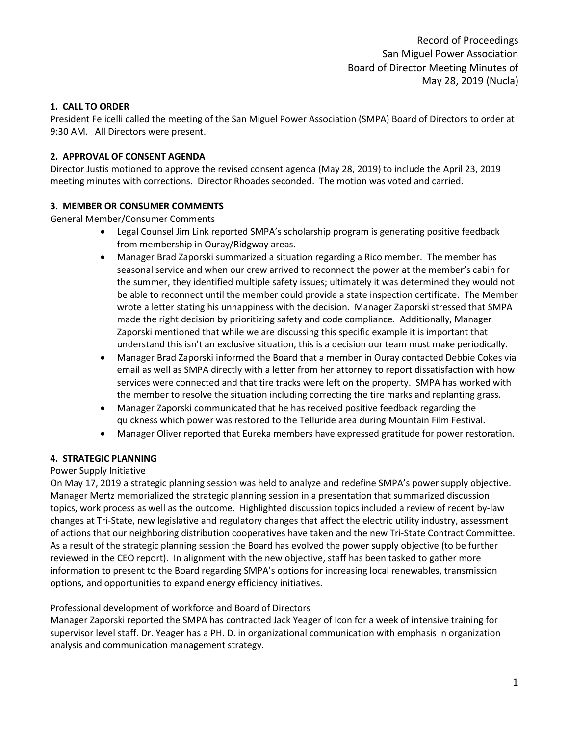# **1. CALL TO ORDER**

President Felicelli called the meeting of the San Miguel Power Association (SMPA) Board of Directors to order at 9:30 AM. All Directors were present.

## **2. APPROVAL OF CONSENT AGENDA**

Director Justis motioned to approve the revised consent agenda (May 28, 2019) to include the April 23, 2019 meeting minutes with corrections. Director Rhoades seconded. The motion was voted and carried.

## **3. MEMBER OR CONSUMER COMMENTS**

General Member/Consumer Comments

- Legal Counsel Jim Link reported SMPA's scholarship program is generating positive feedback from membership in Ouray/Ridgway areas.
- Manager Brad Zaporski summarized a situation regarding a Rico member. The member has seasonal service and when our crew arrived to reconnect the power at the member's cabin for the summer, they identified multiple safety issues; ultimately it was determined they would not be able to reconnect until the member could provide a state inspection certificate. The Member wrote a letter stating his unhappiness with the decision. Manager Zaporski stressed that SMPA made the right decision by prioritizing safety and code compliance. Additionally, Manager Zaporski mentioned that while we are discussing this specific example it is important that understand this isn't an exclusive situation, this is a decision our team must make periodically.
- Manager Brad Zaporski informed the Board that a member in Ouray contacted Debbie Cokes via email as well as SMPA directly with a letter from her attorney to report dissatisfaction with how services were connected and that tire tracks were left on the property. SMPA has worked with the member to resolve the situation including correcting the tire marks and replanting grass.
- Manager Zaporski communicated that he has received positive feedback regarding the quickness which power was restored to the Telluride area during Mountain Film Festival.
- Manager Oliver reported that Eureka members have expressed gratitude for power restoration.

#### **4. STRATEGIC PLANNING**

#### Power Supply Initiative

On May 17, 2019 a strategic planning session was held to analyze and redefine SMPA's power supply objective. Manager Mertz memorialized the strategic planning session in a presentation that summarized discussion topics, work process as well as the outcome. Highlighted discussion topics included a review of recent by-law changes at Tri-State, new legislative and regulatory changes that affect the electric utility industry, assessment of actions that our neighboring distribution cooperatives have taken and the new Tri-State Contract Committee. As a result of the strategic planning session the Board has evolved the power supply objective (to be further reviewed in the CEO report). In alignment with the new objective, staff has been tasked to gather more information to present to the Board regarding SMPA's options for increasing local renewables, transmission options, and opportunities to expand energy efficiency initiatives.

## Professional development of workforce and Board of Directors

Manager Zaporski reported the SMPA has contracted Jack Yeager of Icon for a week of intensive training for supervisor level staff. Dr. Yeager has a PH. D. in organizational communication with emphasis in organization analysis and communication management strategy.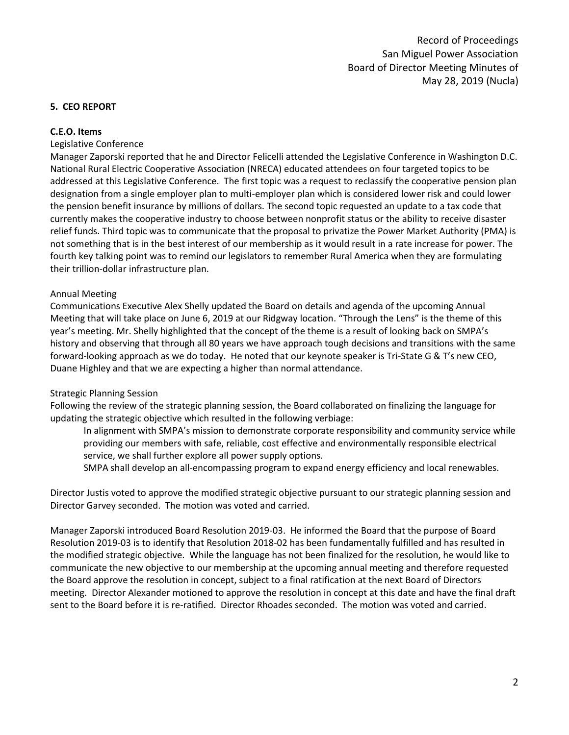## **5. CEO REPORT**

### **C.E.O. Items**

### Legislative Conference

Manager Zaporski reported that he and Director Felicelli attended the Legislative Conference in Washington D.C. National Rural Electric Cooperative Association (NRECA) educated attendees on four targeted topics to be addressed at this Legislative Conference. The first topic was a request to reclassify the cooperative pension plan designation from a single employer plan to multi-employer plan which is considered lower risk and could lower the pension benefit insurance by millions of dollars. The second topic requested an update to a tax code that currently makes the cooperative industry to choose between nonprofit status or the ability to receive disaster relief funds. Third topic was to communicate that the proposal to privatize the Power Market Authority (PMA) is not something that is in the best interest of our membership as it would result in a rate increase for power. The fourth key talking point was to remind our legislators to remember Rural America when they are formulating their trillion-dollar infrastructure plan.

### Annual Meeting

Communications Executive Alex Shelly updated the Board on details and agenda of the upcoming Annual Meeting that will take place on June 6, 2019 at our Ridgway location. "Through the Lens" is the theme of this year's meeting. Mr. Shelly highlighted that the concept of the theme is a result of looking back on SMPA's history and observing that through all 80 years we have approach tough decisions and transitions with the same forward-looking approach as we do today. He noted that our keynote speaker is Tri-State G & T's new CEO, Duane Highley and that we are expecting a higher than normal attendance.

#### Strategic Planning Session

Following the review of the strategic planning session, the Board collaborated on finalizing the language for updating the strategic objective which resulted in the following verbiage:

- In alignment with SMPA's mission to demonstrate corporate responsibility and community service while providing our members with safe, reliable, cost effective and environmentally responsible electrical service, we shall further explore all power supply options.
- SMPA shall develop an all-encompassing program to expand energy efficiency and local renewables.

Director Justis voted to approve the modified strategic objective pursuant to our strategic planning session and Director Garvey seconded. The motion was voted and carried.

Manager Zaporski introduced Board Resolution 2019-03. He informed the Board that the purpose of Board Resolution 2019-03 is to identify that Resolution 2018-02 has been fundamentally fulfilled and has resulted in the modified strategic objective. While the language has not been finalized for the resolution, he would like to communicate the new objective to our membership at the upcoming annual meeting and therefore requested the Board approve the resolution in concept, subject to a final ratification at the next Board of Directors meeting. Director Alexander motioned to approve the resolution in concept at this date and have the final draft sent to the Board before it is re-ratified. Director Rhoades seconded. The motion was voted and carried.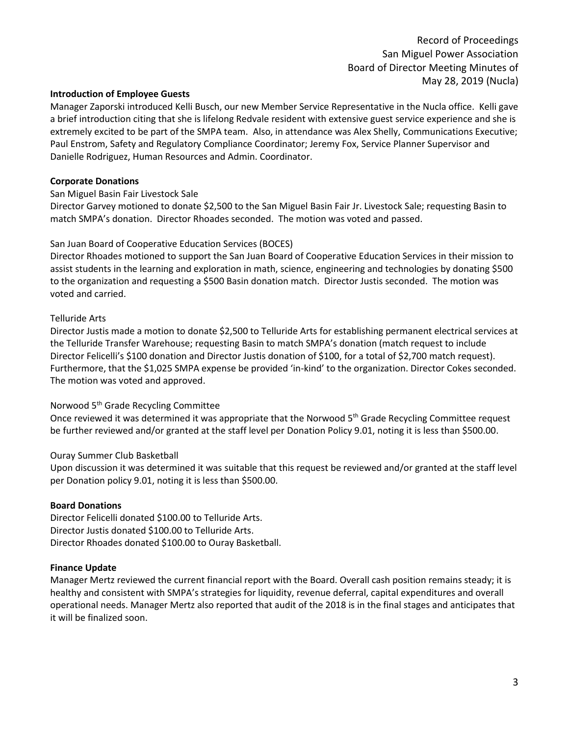## **Introduction of Employee Guests**

Manager Zaporski introduced Kelli Busch, our new Member Service Representative in the Nucla office. Kelli gave a brief introduction citing that she is lifelong Redvale resident with extensive guest service experience and she is extremely excited to be part of the SMPA team. Also, in attendance was Alex Shelly, Communications Executive; Paul Enstrom, Safety and Regulatory Compliance Coordinator; Jeremy Fox, Service Planner Supervisor and Danielle Rodriguez, Human Resources and Admin. Coordinator.

## **Corporate Donations**

### San Miguel Basin Fair Livestock Sale

Director Garvey motioned to donate \$2,500 to the San Miguel Basin Fair Jr. Livestock Sale; requesting Basin to match SMPA's donation. Director Rhoades seconded. The motion was voted and passed.

### San Juan Board of Cooperative Education Services (BOCES)

Director Rhoades motioned to support the San Juan Board of Cooperative Education Services in their mission to assist students in the learning and exploration in math, science, engineering and technologies by donating \$500 to the organization and requesting a \$500 Basin donation match. Director Justis seconded. The motion was voted and carried.

### Telluride Arts

Director Justis made a motion to donate \$2,500 to Telluride Arts for establishing permanent electrical services at the Telluride Transfer Warehouse; requesting Basin to match SMPA's donation (match request to include Director Felicelli's \$100 donation and Director Justis donation of \$100, for a total of \$2,700 match request). Furthermore, that the \$1,025 SMPA expense be provided 'in-kind' to the organization. Director Cokes seconded. The motion was voted and approved.

# Norwood 5th Grade Recycling Committee

Once reviewed it was determined it was appropriate that the Norwood 5<sup>th</sup> Grade Recycling Committee request be further reviewed and/or granted at the staff level per Donation Policy 9.01, noting it is less than \$500.00.

#### Ouray Summer Club Basketball

Upon discussion it was determined it was suitable that this request be reviewed and/or granted at the staff level per Donation policy 9.01, noting it is less than \$500.00.

## **Board Donations**

Director Felicelli donated \$100.00 to Telluride Arts. Director Justis donated \$100.00 to Telluride Arts. Director Rhoades donated \$100.00 to Ouray Basketball.

#### **Finance Update**

Manager Mertz reviewed the current financial report with the Board. Overall cash position remains steady; it is healthy and consistent with SMPA's strategies for liquidity, revenue deferral, capital expenditures and overall operational needs. Manager Mertz also reported that audit of the 2018 is in the final stages and anticipates that it will be finalized soon.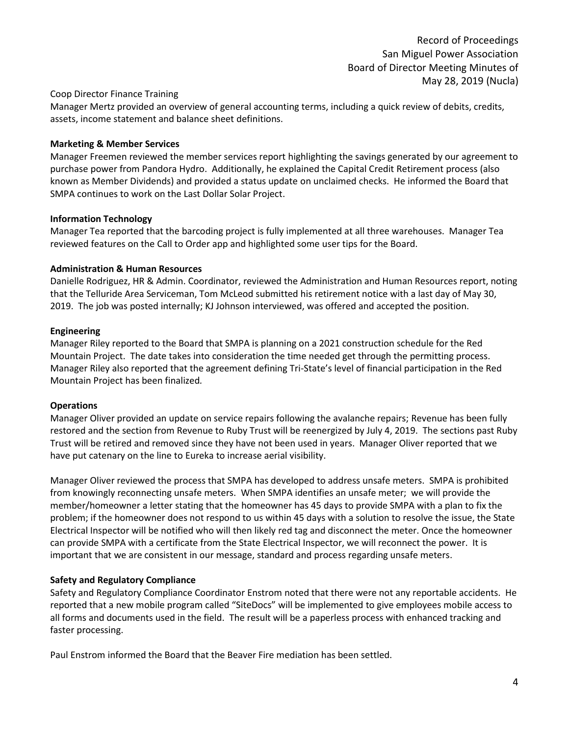## Coop Director Finance Training

Manager Mertz provided an overview of general accounting terms, including a quick review of debits, credits, assets, income statement and balance sheet definitions.

### **Marketing & Member Services**

Manager Freemen reviewed the member services report highlighting the savings generated by our agreement to purchase power from Pandora Hydro. Additionally, he explained the Capital Credit Retirement process (also known as Member Dividends) and provided a status update on unclaimed checks. He informed the Board that SMPA continues to work on the Last Dollar Solar Project.

### **Information Technology**

Manager Tea reported that the barcoding project is fully implemented at all three warehouses. Manager Tea reviewed features on the Call to Order app and highlighted some user tips for the Board.

### **Administration & Human Resources**

Danielle Rodriguez, HR & Admin. Coordinator, reviewed the Administration and Human Resources report, noting that the Telluride Area Serviceman, Tom McLeod submitted his retirement notice with a last day of May 30, 2019. The job was posted internally; KJ Johnson interviewed, was offered and accepted the position.

### **Engineering**

Manager Riley reported to the Board that SMPA is planning on a 2021 construction schedule for the Red Mountain Project. The date takes into consideration the time needed get through the permitting process. Manager Riley also reported that the agreement defining Tri-State's level of financial participation in the Red Mountain Project has been finalized*.* 

## **Operations**

Manager Oliver provided an update on service repairs following the avalanche repairs; Revenue has been fully restored and the section from Revenue to Ruby Trust will be reenergized by July 4, 2019. The sections past Ruby Trust will be retired and removed since they have not been used in years. Manager Oliver reported that we have put catenary on the line to Eureka to increase aerial visibility.

Manager Oliver reviewed the process that SMPA has developed to address unsafe meters. SMPA is prohibited from knowingly reconnecting unsafe meters. When SMPA identifies an unsafe meter; we will provide the member/homeowner a letter stating that the homeowner has 45 days to provide SMPA with a plan to fix the problem; if the homeowner does not respond to us within 45 days with a solution to resolve the issue, the State Electrical Inspector will be notified who will then likely red tag and disconnect the meter. Once the homeowner can provide SMPA with a certificate from the State Electrical Inspector, we will reconnect the power. It is important that we are consistent in our message, standard and process regarding unsafe meters.

## **Safety and Regulatory Compliance**

Safety and Regulatory Compliance Coordinator Enstrom noted that there were not any reportable accidents. He reported that a new mobile program called "SiteDocs" will be implemented to give employees mobile access to all forms and documents used in the field. The result will be a paperless process with enhanced tracking and faster processing.

Paul Enstrom informed the Board that the Beaver Fire mediation has been settled.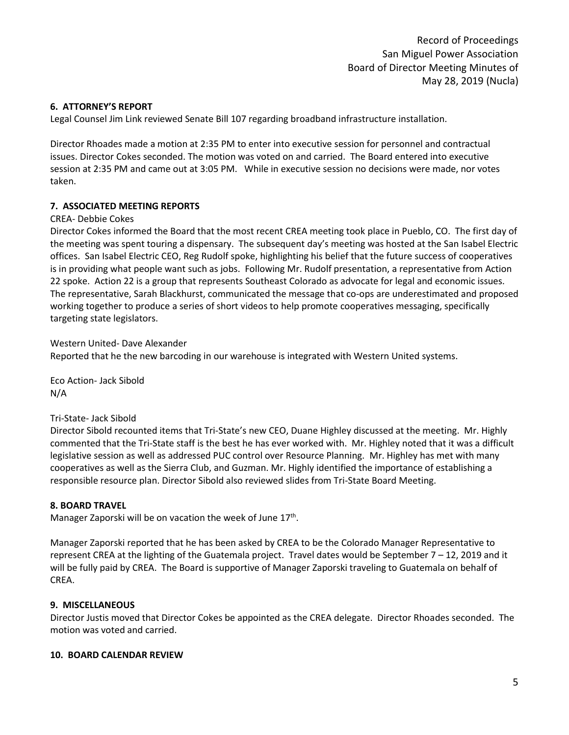# **6. ATTORNEY'S REPORT**

Legal Counsel Jim Link reviewed Senate Bill 107 regarding broadband infrastructure installation.

Director Rhoades made a motion at 2:35 PM to enter into executive session for personnel and contractual issues. Director Cokes seconded. The motion was voted on and carried. The Board entered into executive session at 2:35 PM and came out at 3:05 PM. While in executive session no decisions were made, nor votes taken.

# **7. ASSOCIATED MEETING REPORTS**

CREA- Debbie Cokes

Director Cokes informed the Board that the most recent CREA meeting took place in Pueblo, CO. The first day of the meeting was spent touring a dispensary. The subsequent day's meeting was hosted at the San Isabel Electric offices. San Isabel Electric CEO, Reg Rudolf spoke, highlighting his belief that the future success of cooperatives is in providing what people want such as jobs. Following Mr. Rudolf presentation, a representative from Action 22 spoke. Action 22 is a group that represents Southeast Colorado as advocate for legal and economic issues. The representative, Sarah Blackhurst, communicated the message that co-ops are underestimated and proposed working together to produce a series of short videos to help promote cooperatives messaging, specifically targeting state legislators.

Western United- Dave Alexander

Reported that he the new barcoding in our warehouse is integrated with Western United systems.

Eco Action- Jack Sibold N/A

## Tri-State- Jack Sibold

Director Sibold recounted items that Tri-State's new CEO, Duane Highley discussed at the meeting. Mr. Highly commented that the Tri-State staff is the best he has ever worked with. Mr. Highley noted that it was a difficult legislative session as well as addressed PUC control over Resource Planning. Mr. Highley has met with many cooperatives as well as the Sierra Club, and Guzman. Mr. Highly identified the importance of establishing a responsible resource plan. Director Sibold also reviewed slides from Tri-State Board Meeting.

## **8. BOARD TRAVEL**

Manager Zaporski will be on vacation the week of June 17<sup>th</sup>.

Manager Zaporski reported that he has been asked by CREA to be the Colorado Manager Representative to represent CREA at the lighting of the Guatemala project. Travel dates would be September 7 – 12, 2019 and it will be fully paid by CREA. The Board is supportive of Manager Zaporski traveling to Guatemala on behalf of CREA.

## **9. MISCELLANEOUS**

Director Justis moved that Director Cokes be appointed as the CREA delegate. Director Rhoades seconded. The motion was voted and carried.

## **10. BOARD CALENDAR REVIEW**